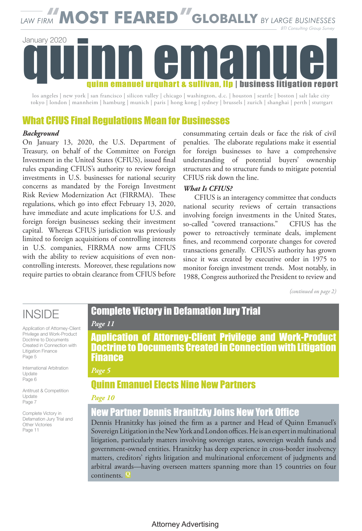*LAW FIRM* **"MOST FEARED" GLOBALLY** *BY LARGE BUSINESSES BTI Consulting Group Survey*

# quinn emanuel quinn emanuel urquhart & sullivan, llp | business litigation report quinn emanuel quinn emanuel urquhart & sullivan, llp | business litigation report January 2020

los angeles | new york | san francisco | silicon valley | chicago | washington, d.c. | houston | seattle | boston | salt lake city tokyo | london | mannheim | hamburg | munich | paris | hong kong | sydney | brussels | zurich | shanghai | perth | stuttgart

### What CFIUS Final Regulations Mean for Businesses

### $Background$

On January 13, 2020, the U.S. Department of Treasury, on behalf of the Committee on Foreign Investment in the United States (CFIUS), issued final rules expanding CFIUS's authority to review foreign investments in U.S. businesses for national security concerns as mandated by the Foreign Investment Risk Review Modernization Act (FIRRMA). These regulations, which go into effect February 13, 2020, have immediate and acute implications for U.S. and foreign foreign businesses seeking their investment capital. Whereas CFIUS jurisdiction was previously limited to foreign acquisitions of controlling interests in U.S. companies, FIRRMA now arms CFIUS with the ability to review acquisitions of even noncontrolling interests. Moreover, these regulations now require parties to obtain clearance from CFIUS before

consummating certain deals or face the risk of civil penalties. The elaborate regulations make it essential for foreign businesses to have a comprehensive understanding of potential buyers' ownership structures and to structure funds to mitigate potential CFIUS risk down the line.

#### *What Is CFIUS?*

CFIUS is an interagency committee that conducts national security reviews of certain transactions involving foreign investments in the United States, so-called "covered transactions." CFIUS has the power to retroactively terminate deals, implement fines, and recommend corporate changes for covered transactions generally. CFIUS's authority has grown since it was created by executive order in 1975 to monitor foreign investment trends. Most notably, in 1988, Congress authorized the President to review and

*(continued on page 2) (continued on page 2)*

## INSIDE INSIDE

Application of Attorney-Client Application of Attorney-Client<br>Privilege and Work-Product Doctrine to Documents Created in Connection with Litigation Finance Page 5 Page 6

International Arbitration Update Page 6

Antitrust & Competition Update Page 7

Complete Victory in Defamation Jury Trial and Other Victories Page 11

## Complete Victory in Defamation Jury Trial

#### *Page 11*

Diane Doolittle, Co-Chair of the firm's National Trial Practice, and Victoria Maroulis, Application of Attorney-Client Privilege and Work-Product **Doctrine to Documents Created in Connection with Litigation** *Rinance* with LendingClub and Marvell, successfully defending the Marvell defending of the Marvell, successi them in securities actions and government investigations, and Maroulis' role in Finance

#### winning a successful settlement for Samsung in a major patent dispute, garnered their patent dispute, garnered *Page 5*

#### award achievement. The awards recognize individual lawyers and companies who are **Quinn Emanuel Elects Nine New Partners**

#### *Page 10*

### New Partner Dennis Hranitzky Joins New York Office

Dennis Hranitzky has joined the firm as a partner and Head of Quinn Emanuel's Sovereign Litigation in the New York and London offices. He is an expert in multinational litigation, particularly matters involving sovereign states, sovereign wealth funds and government-owned entities. Hranitzky has deep experience in cross-border insolvency matters, creditors' rights litigation and multinational enforcement of judgments and arbitral awards—having overseen matters spanning more than 15 countries on four continents. **<sup>Q</sup>**  $\mathcal{L}_{\text{min}}$  is  $\mathcal{L}_{\text{min}}$  in  $\mathcal{L}_{\text{min}}$  trailed the  $\mathcal{L}_{\text{min}}$  is the increase of the increase of the increase of the increase of the increase of the increase of the increase of the increase of the increase of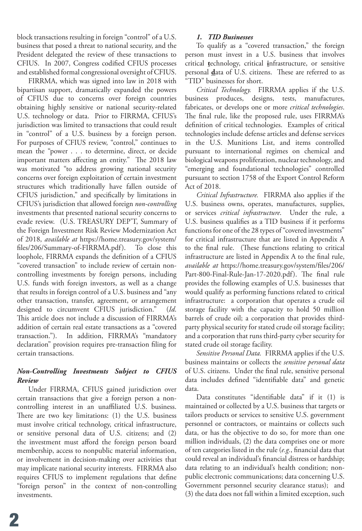block transactions resulting in foreign "control" of a U.S. business that posed a threat to national security, and the President delegated the review of these transactions to CFIUS. In 2007, Congress codified CFIUS processes and established formal congressional oversight of CFIUS.

FIRRMA, which was signed into law in 2018 with bipartisan support, dramatically expanded the powers of CFIUS due to concerns over foreign countries obtaining highly sensitive or national security-related U.S. technology or data. Prior to FIRRMA, CFIUS's jurisdiction was limited to transactions that could result in "control" of a U.S. business by a foreign person. For purposes of CFIUS review, "control," continues to mean the "power . . . to determine, direct, or decide important matters affecting an entity." The 2018 law was motivated "to address growing national security concerns over foreign exploitation of certain investment structures which traditionally have fallen outside of CFIUS jurisdiction," and specifically by limitations in CFIUS's jurisdiction that allowed foreign *non-controlling* investments that presented national security concerns to evade review. (U.S. TREASURY DEP'T, Summary of the Foreign Investment Risk Review Modernization Act of 2018, *available at* https://home.treasury.gov/system/ files/206/Summary-of-FIRRMA.pdf). To close this loophole, FIRRMA expands the definition of a CFIUS "covered transaction" to include review of certain noncontrolling investments by foreign persons, including U.S. funds with foreign investors, as well as a change that results in foreign control of a U.S. business and "any other transaction, transfer, agreement, or arrangement designed to circumvent CFIUS jurisdiction." (*Id*. This article does not include a discussion of FIRRMA's addition of certain real estate transactions as a "covered transaction."). In addition, FIRRMA's "mandatory declaration" provision requires pre-transaction filing for certain transactions.

#### *Non-Controlling Investments Subject to CFIUS Review*

Under FIRRMA, CFIUS gained jurisdiction over certain transactions that give a foreign person a noncontrolling interest in an unaffiliated U.S. business. There are two key limitations: (1) the U.S. business must involve critical technology, critical infrastructure, or sensitive personal data of U.S. citizens; and (2) the investment must afford the foreign person board membership, access to nonpublic material information, or involvement in decision-making over activities that may implicate national security interests. FIRRMA also requires CFIUS to implement regulations that define "foreign person" in the context of non-controlling investments.

#### *1. TID Businesses*

To qualify as a "covered transaction," the foreign person must invest in a U.S. business that involves critical **t**echnology, critical **i**nfrastructure, or sensitive personal **d**ata of U.S. citizens. These are referred to as "TID" businesses for short.

*Critical Technology.* FIRRMA applies if the U.S. business produces, designs, tests, manufactures, fabricates, or develops one or more *critical technologies*. The final rule, like the proposed rule, uses FIRRMA's definition of critical technologies. Examples of critical technologies include defense articles and defense services in the U.S. Munitions List, and items controlled pursuant to international regimes on chemical and biological weapons proliferation, nuclear technology, and "emerging and foundational technologies" controlled pursuant to section 1758 of the Export Control Reform Act of 2018.

*Critical Infrastructure.* FIRRMA also applies if the U.S. business owns, operates, manufactures, supplies, or services *critical infrastructure*. Under the rule, a U.S. business qualifies as a TID business if it performs functions for one of the 28 types of "covered investments" for critical infrastructure that are listed in Appendix A to the final rule. (These functions relating to critical infrastructure are listed in Appendix A to the final rule, *available at* https://home.treasury.gov/system/files/206/ Part-800-Final-Rule-Jan-17-2020.pdf). The final rule provides the following examples of U.S. businesses that would qualify as performing functions related to critical infrastructure: a corporation that operates a crude oil storage facility with the capacity to hold 50 million barrels of crude oil; a corporation that provides thirdparty physical security for stated crude oil storage facility; and a corporation that runs third-party cyber security for stated crude oil storage facility.

*Sensitive Personal Data.* FIRRMA applies if the U.S. business maintains or collects the *sensitive personal data* of U.S. citizens. Under the final rule, sensitive personal data includes defined "identifiable data" and genetic data.

Data constitutes "identifiable data" if it (1) is maintained or collected by a U.S. business that targets or tailors products or services to sensitive U.S. government personnel or contractors, or maintains or collects such data, or has the objective to do so, for more than one million individuals, (2) the data comprises one or more of ten categories listed in the rule (*e.g.*, financial data that could reveal an individual's financial distress or hardship; data relating to an individual's health condition; nonpublic electronic communications; data concerning U.S. Government personnel security clearance status); and (3) the data does not fall within a limited exception, such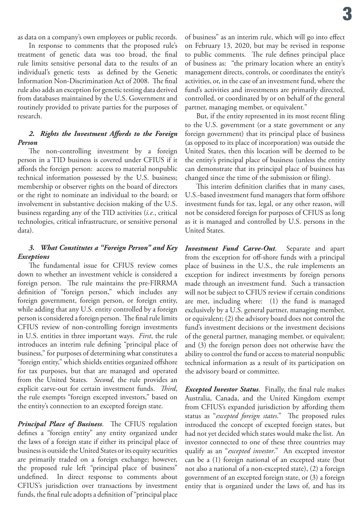as data on a company's own employees or public records.

In response to comments that the proposed rule's treatment of genetic data was too broad, the final rule limits sensitive personal data to the results of an individual's genetic tests as defined by the Genetic Information Non-Discrimination Act of 2008. The final rule also adds an exception for genetic testing data derived from databases maintained by the U.S. Government and routinely provided to private parties for the purposes of research.

#### *2. Rights the Investment Affords to the Foreign Person*

The non-controlling investment by a foreign person in a TID business is covered under CFIUS if it affords the foreign person: access to material nonpublic technical information possessed by the U.S. business; membership or observer rights on the board of directors or the right to nominate an individual to the board; or involvement in substantive decision making of the U.S. business regarding any of the TID activities (*i.e.*, critical technologies, critical infrastructure, or sensitive personal data).

#### *3. What Constitutes a "Foreign Person" and Key Exceptions*

The fundamental issue for CFIUS review comes down to whether an investment vehicle is considered a foreign person. The rule maintains the pre-FIRRMA definition of "foreign person," which includes any foreign government, foreign person, or foreign entity, while adding that any U.S. entity controlled by a foreign person is considered a foreign person. The final rule limits CFIUS review of non-controlling foreign investments in U.S. entities in three important ways. *First*, the rule introduces an interim rule defining "principal place of business," for purposes of determining what constitutes a "foreign entity," which shields entities organized offshore for tax purposes, but that are managed and operated from the United States. *Second*, the rule provides an explicit carve-out for certain investment funds. *Third*, the rule exempts "foreign excepted investors," based on the entity's connection to an excepted foreign state.

*Principal Place of Business*. The CFIUS regulation defines a "foreign entity" any entity organized under the laws of a foreign state if either its principal place of business is outside the United States or its equity securities are primarily traded on a foreign exchange; however, the proposed rule left "principal place of business" undefined. In direct response to comments about CFIUS's jurisdiction over transactions by investment funds, the final rule adopts a definition of "principal place

of business" as an interim rule, which will go into effect on February 13, 2020, but may be revised in response to public comments. The rule defines principal place of business as: "the primary location where an entity's management directs, controls, or coordinates the entity's activities, or, in the case of an investment fund, where the fund's activities and investments are primarily directed, controlled, or coordinated by or on behalf of the general partner, managing member, or equivalent."

But, if the entity represented in its most recent filing to the U.S. government (or a state government or any foreign government) that its principal place of business (as opposed to its place of incorporation) was outside the United States, then this location will be deemed to be the entity's principal place of business (unless the entity can demonstrate that its principal place of business has changed since the time of the submission or filing).

This interim definition clarifies that in many cases, U.S.-based investment fund managers that form offshore investment funds for tax, legal, or any other reason, will not be considered foreign for purposes of CFIUS as long as it is managed and controlled by U.S. persons in the United States.

*Investment Fund Carve-Out*. Separate and apart from the exception for off-shore funds with a principal place of business in the U.S., the rule implements an exception for indirect investments by foreign persons made through an investment fund. Such a transaction will not be subject to CFIUS review if certain conditions are met, including where: (1) the fund is managed exclusively by a U.S. general partner, managing member, or equivalent; (2) the advisory board does not control the fund's investment decisions or the investment decisions of the general partner, managing member, or equivalent; and (3) the foreign person does not otherwise have the ability to control the fund or access to material nonpublic technical information as a result of its participation on the advisory board or committee.

*Excepted Investor Status*. Finally, the final rule makes Australia, Canada, and the United Kingdom exempt from CFIUS's expanded jurisdiction by affording them status as "*excepted foreign states*." The proposed rules introduced the concept of excepted foreign states, but had not yet decided which states would make the list. An investor connected to one of these three countries may qualify as an "*excepted investor*." An excepted investor can be a (1) foreign national of an excepted state (but not also a national of a non-excepted state), (2) a foreign government of an excepted foreign state, or (3) a foreign entity that is organized under the laws of, and has its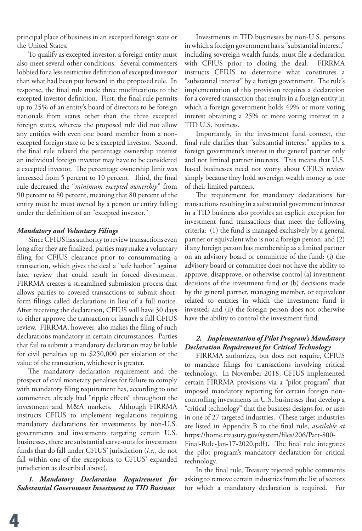principal place of business in an excepted foreign state or the United States.

To qualify as excepted investor, a foreign entity must also meet several other conditions. Several commenters lobbied for a less restrictive definition of excepted investor than what had been put forward in the proposed rule. In response, the final rule made three modifications to the excepted investor definition. First, the final rule permits up to 25% of an entity's board of directors to be foreign nationals from states other than the three excepted foreign states, whereas the proposed rule did not allow any entities with even one board member from a nonexcepted foreign state to be a excepted investor. Second, the final rule relaxed the percentage ownership interest an individual foreign investor may have to be considered a excepted investor. The percentage ownership limit was increased from 5 percent to 10 percent. Third, the final rule decreased the "*minimum excepted ownership*" from 90 percent to 80 percent, meaning that 80 percent of the entity must be must owned by a person or entity falling under the definition of an "excepted investor."

#### *Mandatory and Voluntary Filings*

Since CFIUS has authority to review transactions even long after they are finalized, parties may make a voluntary filing for CFIUS clearance prior to consummating a transaction, which gives the deal a "safe harbor" against later review that could result in forced divestment. FIRRMA creates a streamlined submission process that allows parties to covered transactions to submit shortform filings called declarations in lieu of a full notice. After receiving the declaration, CFIUS will have 30 days to either approve the transaction or launch a full CFIUS review. FIRRMA, however, also makes the filing of such declarations mandatory in certain circumstances. Parties that fail to submit a mandatory declaration may be liable for civil penalties up to \$250,000 per violation or the value of the transaction, whichever is greater.

The mandatory declaration requirement and the prospect of civil monetary penalties for failure to comply with mandatory filing requirement has, according to one commenter, already had "ripple effects" throughout the investment and M&A markets. Although FIRRMA instructs CFIUS to implement regulations requiring mandatory declarations for investments by non-U.S. governments and investments targeting certain U.S. businesses, there are substantial carve-outs for investment funds that do fall under CFIUS' jurisdiction (*i.e.*, do not fall within one of the exceptions to CFIUS' expanded jurisdiction as described above).

*1. Mandatory Declaration Requirement for Substantial Government Investment in TID Business*

Investments in TID businesses by non-U.S. persons in which a foreign government has a "substantial interest," including sovereign wealth funds, must file a declaration with CFIUS prior to closing the deal. FIRRMA instructs CFIUS to determine what constitutes a "substantial interest" by a foreign government. The rule's implementation of this provision requires a declaration for a covered transaction that results in a foreign entity in which a foreign government holds 49% or more voting interest obtaining a 25% or more voting interest in a TID U.S. business.

Importantly, in the investment fund context, the final rule clarifies that "substantial interest" applies to a foreign government's interest in the general partner only and not limited partner interests. This means that U.S. based businesses need not worry about CFIUS review simply because they hold sovereign wealth money as one of their limited partners.

The requirement for mandatory declarations for transactions resulting in a substantial government interest in a TID business also provides an explicit exception for investment fund transactions that meet the following criteria: (1) the fund is managed exclusively by a general partner or equivalent who is not a foreign person; and (2) if any foreign person has membership as a limited partner on an advisory board or committee of the fund: (i) the advisory board or committee does not have the ability to approve, disapprove, or otherwise control (a) investment decisions of the investment fund or (b) decisions made by the general partner, managing member, or equivalent related to entities in which the investment fund is invested; and (ii) the foreign person does not otherwise have the ability to control the investment fund.

#### *2. Implementation of Pilot Program's Mandatory Declaration Requirement for Critical Technology*

FIRRMA authorizes, but does not require, CFIUS to mandate filings for transactions involving critical technology. In November 2018, CFIUS implemented certain FIRRMA provisions via a "pilot program" that imposed mandatory reporting for certain foreign noncontrolling investments in U.S. businesses that develop a "critical technology" that the business designs for, or uses in one of 27 targeted industries. (These target industries are listed in Appendix B to the final rule, *available at*  https://home.treasury.gov/system/files/206/Part-800- Final-Rule-Jan-17-2020.pdf). The final rule integrates the pilot program's mandatory declaration for critical technology.

In the final rule, Treasury rejected public comments asking to remove certain industries from the list of sectors for which a mandatory declaration is required. For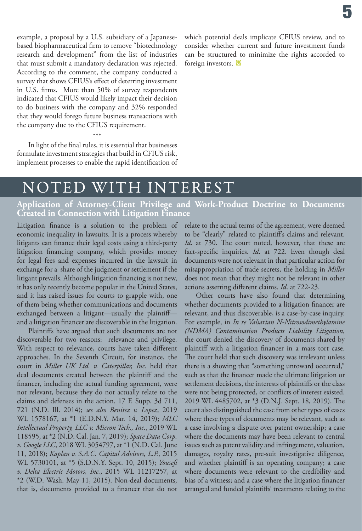example, a proposal by a U.S. subsidiary of a Japanesebased biopharmaceutical firm to remove "biotechnology research and development" from the list of industries that must submit a mandatory declaration was rejected. According to the comment, the company conducted a survey that shows CFIUS's effect of deterring investment in U.S. firms. More than 50% of survey respondents indicated that CFIUS would likely impact their decision to do business with the company and 32% responded that they would forego future business transactions with the company due to the CFIUS requirement.

**Q** foreign investors.which potential deals implicate CFIUS review, and to consider whether current and future investment funds can be structured to minimize the rights accorded to

#### \*\*\*

In light of the final rules, it is essential that businesses formulate investment strategies that build in CFIUS risk, implement processes to enable the rapid identification of

## NOTED WITH INTEREST

#### **Application of Attorney-Client Privilege and Work-Product Doctrine to Documents Created in Connection with Litigation Finance**

Litigation finance is a solution to the problem of economic inequality in lawsuits. It is a process whereby litigants can finance their legal costs using a third-party litigation financing company, which provides money for legal fees and expenses incurred in the lawsuit in exchange for a share of the judgment or settlement if the litigant prevails. Although litigation financing is not new, it has only recently become popular in the United States, and it has raised issues for courts to grapple with, one of them being whether communications and documents exchanged between a litigant—usually the plaintiff and a litigation financer are discoverable in the litigation.

Plaintiffs have argued that such documents are not discoverable for two reasons: relevance and privilege. With respect to relevance, courts have taken different approaches. In the Seventh Circuit, for instance, the court in *Miller UK Ltd. v. Caterpillar, Inc*. held that deal documents created between the plaintiff and the financer, including the actual funding agreement, were not relevant, because they do not actually relate to the claims and defenses in the action. 17 F. Supp. 3d 711, 721 (N.D. Ill. 2014); *see also Benitez v. Lopez*, 2019 WL 1578167, at \*1 (E.D.N.Y. Mar. 14, 2019); *MLC Intellectual Property, LLC v. Micron Tech., Inc.*, 2019 WL 118595, at \*2 (N.D. Cal. Jan. 7, 2019); *Space Data Corp. v. Google LLC*, 2018 WL 3054797, at \*1 (N.D. Cal. June 11, 2018); *Kaplan v. S.A.C. Capital Advisors, L.P.*, 2015 WL 5730101, at \*5 (S.D.N.Y. Sept. 10, 2015); *Yousefi v. Delta Electric Motors, Inc.*, 2015 WL 11217257, at \*2 (W.D. Wash. May 11, 2015). Non-deal documents, that is, documents provided to a financer that do not

relate to the actual terms of the agreement, were deemed to be "clearly" related to plaintiff's claims and relevant. *Id*. at 730. The court noted, however, that these are fact-specific inquiries. *Id*. at 722. Even though deal documents were not relevant in that particular action for misappropriation of trade secrets, the holding in *Miller*  does not mean that they might not be relevant in other actions asserting different claims. *Id*. at 722-23.

Other courts have also found that determining whether documents provided to a litigation financer are relevant, and thus discoverable, is a case-by-case inquiry. For example, in *In re Valsartan N-Nitrosodimethylamine (NDMA) Contamination Products Liability Litigation*, the court denied the discovery of documents shared by plaintiff with a litigation financer in a mass tort case. The court held that such discovery was irrelevant unless there is a showing that "something untoward occurred," such as that the financer made the ultimate litigation or settlement decisions, the interests of plaintiffs or the class were not being protected, or conflicts of interest existed. 2019 WL 4485702, at \*3 (D.N.J. Sept. 18, 2019). The court also distinguished the case from other types of cases where these types of documents may be relevant, such as a case involving a dispute over patent ownership; a case where the documents may have been relevant to central issues such as patent validity and infringement, valuation, damages, royalty rates, pre-suit investigative diligence, and whether plaintiff is an operating company; a case where documents were relevant to the credibility and bias of a witness; and a case where the litigation financer arranged and funded plaintiffs' treatments relating to the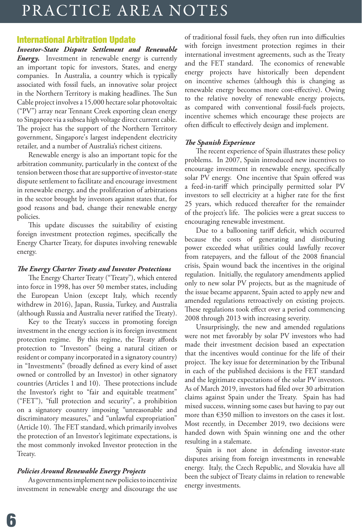## PRACTICE AREA NOTES

#### International Arbitration Update

*Investor-State Dispute Settlement and Renewable Energy.* Investment in renewable energy is currently an important topic for investors, States, and energy companies. In Australia, a country which is typically associated with fossil fuels, an innovative solar project in the Northern Territory is making headlines. The Sun Cable project involves a 15,000 hectare solar photovoltaic ("PV") array near Tennant Creek exporting clean energy to Singapore via a subsea high voltage direct current cable. The project has the support of the Northern Territory government, Singapore's largest independent electricity retailer, and a number of Australia's richest citizens.

Renewable energy is also an important topic for the arbitration community, particularly in the context of the tension between those that are supportive of investor-state dispute settlement to facilitate and encourage investment in renewable energy, and the proliferation of arbitrations in the sector brought by investors against states that, for good reasons and bad, change their renewable energy policies.

This update discusses the suitability of existing foreign investment protection regimes, specifically the Energy Charter Treaty, for disputes involving renewable energy.

#### *The Energy Charter Treaty and Investor Protections*

The Energy Charter Treaty ("Treaty"), which entered into force in 1998, has over 50 member states, including the European Union (except Italy, which recently withdrew in 2016), Japan, Russia, Turkey, and Australia (although Russia and Australia never ratified the Treaty).

Key to the Treaty's success in promoting foreign investment in the energy section is its foreign investment protection regime. By this regime, the Treaty affords protection to "Investors" (being a natural citizen or resident or company incorporated in a signatory country) in "Investments" (broadly defined as every kind of asset owned or controlled by an Investor) in other signatory countries (Articles 1 and 10). These protections include the Investor's right to "fair and equitable treatment" ("FET"), "full protection and security", a prohibition on a signatory country imposing "unreasonable and discriminatory measures," and "unlawful expropriation" (Article 10). The FET standard, which primarily involves the protection of an Investor's legitimate expectations, is the most commonly invoked Investor protection in the Treaty.

#### *Policies Around Renewable Energy Projects*

As governments implement new policies to incentivize investment in renewable energy and discourage the use of traditional fossil fuels, they often run into difficulties with foreign investment protection regimes in their international investment agreements, such as the Treaty and the FET standard. The economics of renewable energy projects have historically been dependent on incentive schemes (although this is changing as renewable energy becomes more cost-effective). Owing to the relative novelty of renewable energy projects, as compared with conventional fossil-fuels projects, incentive schemes which encourage these projects are often difficult to effectively design and implement.

#### *The Spanish Experience*

The recent experience of Spain illustrates these policy problems. In 2007, Spain introduced new incentives to encourage investment in renewable energy, specifically solar PV energy. One incentive that Spain offered was a feed-in-tariff which principally permitted solar PV investors to sell electricity at a higher rate for the first 25 years, which reduced thereafter for the remainder of the project's life. The policies were a great success to encouraging renewable investment.

Due to a ballooning tariff deficit, which occurred because the costs of generating and distributing power exceeded what utilities could lawfully recover from ratepayers, and the fallout of the 2008 financial crisis, Spain wound back the incentives in the original regulation. Initially, the regulatory amendments applied only to new solar PV projects, but as the magnitude of the issue became apparent, Spain acted to apply new and amended regulations retroactively on existing projects. These regulations took effect over a period commencing 2008 through 2013 with increasing severity.

Unsurprisingly, the new and amended regulations were not met favorably by solar PV investors who had made their investment decision based an expectation that the incentives would continue for the life of their project. The key issue for determination by the Tribunal in each of the published decisions is the FET standard and the legitimate expectations of the solar PV investors. As of March 2019, investors had filed over 30 arbitration claims against Spain under the Treaty. Spain has had mixed success, winning some cases but having to pay out more than €350 million to investors on the cases it lost. Most recently, in December 2019, two decisions were handed down with Spain winning one and the other resulting in a stalemate.

Spain is not alone in defending investor-state disputes arising from foreign investments in renewable energy. Italy, the Czech Republic, and Slovakia have all been the subject of Treaty claims in relation to renewable energy investments.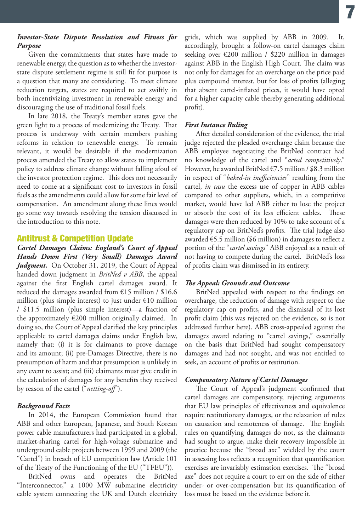#### *Investor-State Dispute Resolution and Fitness for Purpose*

Given the commitments that states have made to renewable energy, the question as to whether the investorstate dispute settlement regime is still fit for purpose is a question that many are considering. To meet climate reduction targets, states are required to act swiftly in both incentivizing investment in renewable energy and discouraging the use of traditional fossil fuels.

In late 2018, the Treaty's member states gave the green light to a process of modernizing the Treaty. That process is underway with certain members pushing reforms in relation to renewable energy. To remain relevant, it would be desirable if the modernization process amended the Treaty to allow states to implement policy to address climate change without falling afoul of the investor protection regime. This does not necessarily need to come at a significant cost to investors in fossil fuels as the amendments could allow for some fair level of compensation. An amendment along these lines would go some way towards resolving the tension discussed in the introduction to this note.

#### Antitrust & Competition Update

*Cartel Damages Claims: England's Court of Appeal Hands Down First (Very Small) Damages Award Judgment.* On October 31, 2019, the Court of Appeal handed down judgment in *BritNed v ABB*, the appeal against the first English cartel damages award. It reduced the damages awarded from  $£15$  million / \$16.6 million (plus simple interest) to just under  $€10$  million / \$11.5 million (plus simple interest)—a fraction of the approximately €200 million originally claimed. In doing so, the Court of Appeal clarified the key principles applicable to cartel damages claims under English law, namely that: (i) it is for claimants to prove damage and its amount; (ii) pre-Damages Directive, there is no presumption of harm and that presumption is unlikely in any event to assist; and (iii) claimants must give credit in the calculation of damages for any benefits they received by reason of the cartel ("*netting-off*").

#### *Background Facts*

In 2014, the European Commission found that ABB and other European, Japanese, and South Korean power cable manufacturers had participated in a global, market-sharing cartel for high-voltage submarine and underground cable projects between 1999 and 2009 (the "Cartel") in breach of EU competition law (Article 101 of the Treaty of the Functioning of the EU ("TFEU")).

BritNed owns and operates the BritNed "Interconnector," a 1000 MW submarine electricity cable system connecting the UK and Dutch electricity grids, which was supplied by ABB in 2009. It, accordingly, brought a follow-on cartel damages claim seeking over €200 million / \$220 million in damages against ABB in the English High Court. The claim was not only for damages for an overcharge on the price paid plus compound interest, but for loss of profits (alleging that absent cartel-inflated prices, it would have opted for a higher capacity cable thereby generating additional profit).

#### *First Instance Ruling*

After detailed consideration of the evidence, the trial judge rejected the pleaded overcharge claim because the ABB employee negotiating the BritNed contract had no knowledge of the cartel and "*acted competitively*." However, he awarded BritNed €7.5 million / \$8.3 million in respect of "*baked-in inefficiencies*" resulting from the cartel, *in casu* the excess use of copper in ABB cables compared to other suppliers, which, in a competitive market, would have led ABB either to lose the project or absorb the cost of its less efficient cables. These damages were then reduced by 10% to take account of a regulatory cap on BritNed's profits. The trial judge also awarded €5.5 million (\$6 million) in damages to reflect a portion of the "*cartel savings*" ABB enjoyed as a result of not having to compete during the cartel. BritNed's loss of profits claim was dismissed in its entirety.

#### *The Appeal: Grounds and Outcome*

BritNed appealed with respect to the findings on overcharge, the reduction of damage with respect to the regulatory cap on profits, and the dismissal of its lost profit claim (this was rejected on the evidence, so is not addressed further here). ABB cross-appealed against the damages award relating to "cartel savings," essentially on the basis that BritNed had sought compensatory damages and had not sought, and was not entitled to seek, an account of profits or restitution.

#### *Compensatory Nature of Cartel Damages*

The Court of Appeal's judgment confirmed that cartel damages are compensatory, rejecting arguments that EU law principles of effectiveness and equivalence require restitutionary damages, or the relaxation of rules on causation and remoteness of damage. The English rules on quantifying damages do not, as the claimants had sought to argue, make their recovery impossible in practice because the "broad axe" wielded by the court in assessing loss reflects a recognition that quantification exercises are invariably estimation exercises. The "broad axe" does not require a court to err on the side of either under- or over-compensation but its quantification of loss must be based on the evidence before it.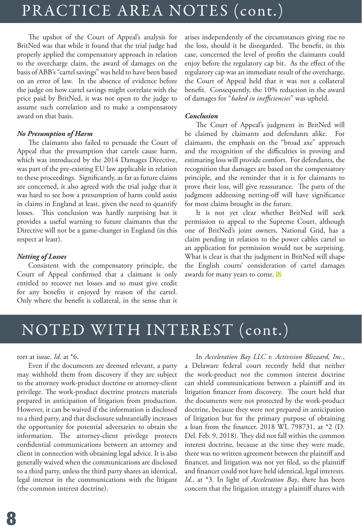## PRACTICE AREA NOTES (cont.) PRACTICE AREA NOTES (cont.)

The upshot of the Court of Appeal's analysis for BritNed was that while it found that the trial judge had properly applied the compensatory approach in relation to the overcharge claim, the award of damages on the basis of ABB's "cartel savings" was held to have been based on an error of law. In the absence of evidence before the judge on how cartel savings might correlate with the price paid by BritNed, it was not open to the judge to assume such correlation and to make a compensatory award on that basis.

#### *No Presumption of Harm*

The claimants also failed to persuade the Court of Appeal that the presumption that cartels cause harm, which was introduced by the 2014 Damages Directive, was part of the pre-existing EU law applicable in relation to these proceedings. Significantly, as far as future claims are concerned, it also agreed with the trial judge that it was hard to see how a presumption of harm could assist in claims in England at least, given the need to quantify losses. This conclusion was hardly surprising but it provides a useful warning to future claimants that the Directive will not be a game-changer in England (in this respect at least).

#### *Netting of Losses*

Consistent with the compensatory principle, the Court of Appeal confirmed that a claimant is only entitled to recover net losses and so must give credit for any benefits it enjoyed by reason of the cartel. Only where the benefit is collateral, in the sense that it arises independently of the circumstances giving rise to the loss, should it be disregarded. The benefit, in this case, concerned the level of profits the claimants could enjoy before the regulatory cap bit. As the effect of the regulatory cap was an immediate result of the overcharge, the Court of Appeal held that it was not a collateral benefit. Consequently, the 10% reduction in the award of damages for "*baked in inefficiencies*" was upheld.

#### *Conclusion*

The Court of Appeal's judgment in BritNed will be claimed by claimants and defendants alike. For claimants, the emphasis on the "broad axe" approach and the recognition of the difficulties in proving and estimating loss will provide comfort. For defendants, the recognition that damages are based on the compensatory principle, and the reminder that it is for claimants to prove their loss, will give reassurance. The parts of the judgment addressing netting-off will have significance for most claims brought in the future.

It is not yet clear whether BritNed will seek permission to appeal to the Supreme Court, although one of BritNed's joint owners, National Grid, has a claim pending in relation to the power cables cartel so an application for permission would not be surprising. What is clear is that the judgment in BritNed will shape the English courts' consideration of cartel damages awards for many years to come. **Q**

## NOTED WITH INTEREST (cont.)

tort at issue. *Id*. at \*6.

Even if the documents are deemed relevant, a party may withhold them from discovery if they are subject to the attorney work-product doctrine or attorney-client privilege. The work-product doctrine protects materials prepared in anticipation of litigation from production. However, it can be waived if the information is disclosed to a third party, and that disclosure substantially increases the opportunity for potential adversaries to obtain the information. The attorney-client privilege protects confidential communications between an attorney and client in connection with obtaining legal advice. It is also generally waived when the communications are disclosed to a third party, unless the third party shares an identical, legal interest in the communications with the litigant (the common interest doctrine).

In *Acceleration Bay LLC v. Activision Blizzard, Inc.*, a Delaware federal court recently held that neither the work-product nor the common interest doctrine can shield communications between a plaintiff and its litigation financer from discovery. The court held that the documents were not protected by the work-product doctrine, because they were not prepared in anticipation of litigation but for the primary purpose of obtaining a loan from the financer. 2018 WL 798731, at \*2 (D. Del. Feb. 9, 2018). They did not fall within the common interest doctrine, because at the time they were made, there was no written agreement between the plaintiff and financer, and litigation was not yet filed, so the plaintiff and financer could not have held identical, legal interests. *Id.*, at \*3. In light of *Acceleration Bay*, there has been concern that the litigation strategy a plaintiff shares with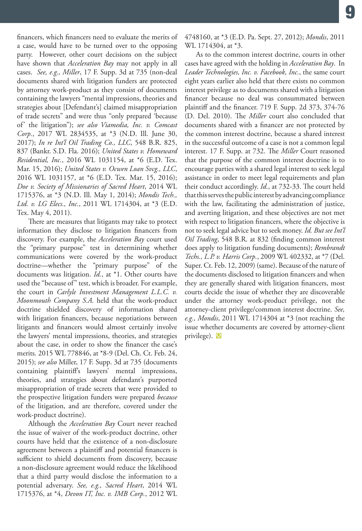financers, which financers need to evaluate the merits of a case, would have to be turned over to the opposing party. However, other court decisions on the subject have shown that *Acceleration Bay* may not apply in all cases. *See, e.g., Miller*, 17 F. Supp. 3d at 735 (non-deal documents shared with litigation funders are protected by attorney work-product as they consist of documents containing the lawyers "mental impressions, theories and strategies about [Defendant's] claimed misappropriation of trade secrets" and were thus "only prepared 'because of' the litigation"); *see also Viamedia, Inc. v. Comcast Corp.*, 2017 WL 2834535, at \*3 (N.D. Ill. June 30, 2017); *In re Int'l Oil Trading Co., LLC*, 548 B.R. 825, 837 (Bankr. S.D. Fla. 2016); *United States v. Homeward Residential, Inc.*, 2016 WL 1031154, at \*6 (E.D. Tex. Mar. 15, 2016); *United States v. Ocwen Loan Svcg., LLC*, 2016 WL 1031157, at \*6 (E.D. Tex. Mar. 15, 2016); *Doe v. Society of Missionaries of Sacred Heart*, 2014 WL 1715376, at \*3 (N.D. Ill. May 1, 2014); *Mondis Tech., Ltd. v. LG Elecs., Inc.*, 2011 WL 1714304, at \*3 (E.D. Tex. May 4, 2011).

There are measures that litigants may take to protect information they disclose to litigation financers from discovery. For example, the *Acceleration Bay* court used the "primary purpose" test in determining whether communications were covered by the work-product doctrine—whether the "primary purpose" of the documents was litigation. *Id.*, at \*1. Other courts have used the "because of" test, which is broader. For example, the court in *Carlyle Investment Management L.L.C. v. Moonmouth Company S.A.* held that the work-product doctrine shielded discovery of information shared with litigation financers, because negotiations between litigants and financers would almost certainly involve the lawyers' mental impressions, theories, and strategies about the case, in order to show the financer the case's merits. 2015 WL 778846, at \*8-9 (Del. Ch. Ct. Feb. 24, 2015); *see also* Miller, 17 F. Supp. 3d at 735 (documents containing plaintiff's lawyers' mental impressions, theories, and strategies about defendant's purported misappropriation of trade secrets that were provided to the prospective litigation funders were prepared *because* of the litigation, and are therefore, covered under the work-product doctrine).

Although the *Acceleration Bay* Court never reached the issue of waiver of the work-product doctrine, other courts have held that the existence of a non-disclosure agreement between a plaintiff and potential financers is sufficient to shield documents from discovery, because a non-disclosure agreement would reduce the likelihood that a third party would disclose the information to a potential adversary. *See, e.g., Sacred Heart*, 2014 WL 1715376, at \*4, *Devon IT, Inc. v. IMB Corp.*, 2012 WL

4748160, at \*3 (E.D. Pa. Sept. 27, 2012); *Mondis*, 2011 WL 1714304, at \*3.

**Q** privilege).As to the common interest doctrine, courts in other cases have agreed with the holding in *Acceleration Bay*. In *Leader Technologies, Inc. v. Facebook, Inc.*, the same court eight years earlier also held that there exists no common interest privilege as to documents shared with a litigation financer because no deal was consummated between plaintiff and the financer. 719 F. Supp. 2d 373, 374-76 (D. Del. 2010). The *Miller* court also concluded that documents shared with a financer are not protected by the common interest doctrine, because a shared interest in the successful outcome of a case is not a common legal interest. 17 F. Supp. at 732. The *Miller* Court reasoned that the purpose of the common interest doctrine is to encourage parties with a shared legal interest to seek legal assistance in order to meet legal requirements and plan their conduct accordingly. *Id.*, at 732-33. The court held that this serves the public interest by advancing compliance with the law, facilitating the administration of justice, and averting litigation, and these objectives are not met with respect to litigation financers, where the objective is not to seek legal advice but to seek money. *Id. But see Int'l Oil Trading*, 548 B.R. at 832 (finding common interest does apply to litigation funding documents); *Rembrandt Techs., L.P. v. Harris Corp.*, 2009 WL 402332, at \*7 (Del. Super. Ct. Feb. 12, 2009) (same). Because of the nature of the documents disclosed to litigation financers and when they are generally shared with litigation financers, most courts decide the issue of whether they are discoverable under the attorney work-product privilege, not the attorney-client privilege/common interest doctrine. *See, e.g., Mondis*, 2011 WL 1714304 at \*3 (not reaching the issue whether documents are covered by attorney-client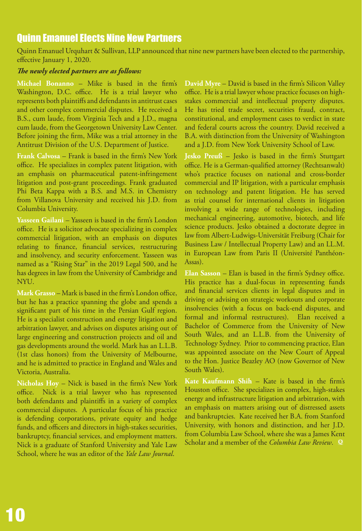### Quinn Emanuel Elects Nine New Partners

Quinn Emanuel Urquhart & Sullivan, LLP announced that nine new partners have been elected to the partnership, effective January 1, 2020.

#### *The newly elected partners are as follows:*

**Michael Bonanno** – Mike is based in the firm's Washington, D.C. office. He is a trial lawyer who represents both plaintiffs and defendants in antitrust cases and other complex commercial disputes. He received a B.S., cum laude, from Virginia Tech and a J.D., magna cum laude, from the Georgetown University Law Center. Before joining the firm, Mike was a trial attorney in the Antitrust Division of the U.S. Department of Justice.

**Frank Calvosa** – Frank is based in the firm's New York office. He specializes in complex patent litigation, with an emphasis on pharmaceutical patent-infringement litigation and post-grant proceedings. Frank graduated Phi Beta Kappa with a B.S. and M.S. in Chemistry from Villanova University and received his J.D. from Columbia University.

**Yasseen Gailani** – Yasseen is based in the firm's London office. He is a solicitor advocate specializing in complex commercial litigation, with an emphasis on disputes relating to finance, financial services, restructuring and insolvency, and security enforcement. Yasseen was named as a "Rising Star" in the 2019 Legal 500, and he has degrees in law from the University of Cambridge and NYU.

**Mark Grasso** – Mark is based in the firm's London office, but he has a practice spanning the globe and spends a significant part of his time in the Persian Gulf region. He is a specialist construction and energy litigation and arbitration lawyer, and advises on disputes arising out of large engineering and construction projects and oil and gas developments around the world. Mark has an L.L.B. (1st class honors) from the University of Melbourne, and he is admitted to practice in England and Wales and Victoria, Australia.

**Nicholas Hoy** – Nick is based in the firm's New York office. Nick is a trial lawyer who has represented both defendants and plaintiffs in a variety of complex commercial disputes. A particular focus of his practice is defending corporations, private equity and hedge funds, and officers and directors in high-stakes securities, bankruptcy, financial services, and employment matters. Nick is a graduate of Stanford University and Yale Law School, where he was an editor of the *Yale Law Journal*.

**David Myre** – David is based in the firm's Silicon Valley office. He is a trial lawyer whose practice focuses on highstakes commercial and intellectual property disputes. He has tried trade secret, securities fraud, contract, constitutional, and employment cases to verdict in state and federal courts across the country. David received a B.A. with distinction from the University of Washington and a J.D. from New York University School of Law.

**Jesko Preuß** – Jesko is based in the firm's Stuttgart office. He is a German-qualified attorney (Rechtsanwalt) who's practice focuses on national and cross-border commercial and IP litigation, with a particular emphasis on technology and patent litigation. He has served as trial counsel for international clients in litigation involving a wide range of technologies, including mechanical engineering, automotive, biotech, and life science products. Jesko obtained a doctorate degree in law from Albert-Ludwigs-Universität Freiburg (Chair for Business Law / Intellectual Property Law) and an LL.M. in European Law from Paris II (Université Panthéon-Assas).

**Elan Sasson** – Elan is based in the firm's Sydney office. His practice has a dual-focus in representing funds and financial services clients in legal disputes and in driving or advising on strategic workouts and corporate insolvencies (with a focus on back-end disputes, and formal and informal restructures). Elan received a Bachelor of Commerce from the University of New South Wales, and an L.L.B. from the University of Technology Sydney. Prior to commencing practice, Elan was appointed associate on the New Court of Appeal to the Hon. Justice Beazley AO (now Governor of New South Wales).

**Kate Kaufmann Shih** – Kate is based in the firm's Houston office. She specializes in complex, high-stakes energy and infrastructure litigation and arbitration, with an emphasis on matters arising out of distressed assets and bankruptcies. Kate received her B.A. from Stanford University, with honors and distinction, and her J.D. from Columbia Law School, where she was a James Kent Scholar and a member of the *Columbia Law Review*. **Q**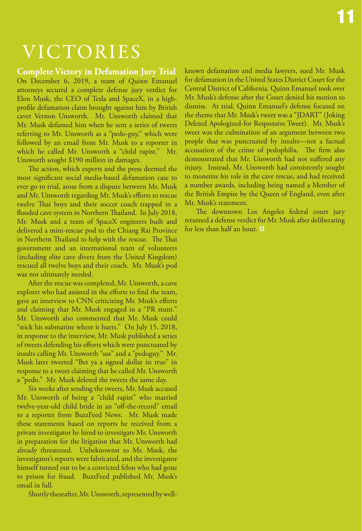## VICTORIES

**Complete Victory in Defamation Jury Trial** On December 6, 2019, a team of Quinn Emanuel attorneys secured a complete defense jury verdict for Elon Musk, the CEO of Tesla and SpaceX, in a highprofile defamation claim brought against him by British caver Vernon Unsworth. Mr. Unsworth claimed that Mr. Musk defamed him when he sent a series of tweets referring to Mr. Unsworth as a "pedo-guy," which were followed by an email from Mr. Musk to a reporter in which he called Mr. Unsworth a "child rapist." Mr. Unsworth sought \$190 million in damages.

The action, which experts and the press deemed the most significant social media-based defamation case to ever go to trial, arose from a dispute between Mr. Musk and Mr. Unsworth regarding Mr. Musk's efforts to rescue twelve Thai boys and their soccer coach trapped in a flooded cave system in Northern Thailand. In July 2018, Mr. Musk and a team of SpaceX engineers built and delivered a mini-rescue pod to the Chiang Rai Province in Northern Thailand to help with the rescue. The Thai government and an international team of volunteers (including elite cave divers from the United Kingdom) rescued all twelve boys and their coach. Mr. Musk's pod was not ultimately needed.

After the rescue was completed, Mr. Unsworth, a cave explorer who had assisted in the efforts to find the team, gave an interview to CNN criticizing Mr. Musk's efforts and claiming that Mr. Musk engaged in a "PR stunt." Mr. Unsworth also commented that Mr. Musk could "stick his submarine where it hurts." On July 15, 2018, in response to the interview, Mr. Musk published a series of tweets defending his efforts which were punctuated by insults calling Mr. Unsworth "sus" and a "pedoguy." Mr. Musk later tweeted "Bet ya a signed dollar its true" in response to a tweet claiming that he called Mr. Unsworth a "pedo." Mr. Musk deleted the tweets the same day.

Six weeks after sending the tweets, Mr. Musk accused Mr. Unsworth of being a "child rapist" who married twelve-year-old child bride in an "off-the-record" email to a reporter from BuzzFeed News. Mr. Musk made these statements based on reports he received from a private investigator he hired to investigate Mr. Unsworth in preparation for the litigation that Mr. Unsworth had already threatened. Unbeknownst to Mr. Musk, the investigator's reports were fabricated, and the investigator himself turned out to be a convicted felon who had gone to prison for fraud. BuzzFeed published Mr. Musk's email in full.

Shortly thereafter, Mr. Unsworth, represented by well-

known defamation and media lawyers, sued Mr. Musk for defamation in the United States District Court for the Central District of California. Quinn Emanuel took over Mr. Musk's defense after the Court denied his motion to dismiss. At trial, Quinn Emanuel's defense focused on the theme that Mr. Musk's tweet was a "JDART" (Joking Deleted Apologized-for Responsive Tweet). Mr. Musk's tweet was the culmination of an argument between two people that was punctuated by insults—not a factual accusation of the crime of pedophilia. The firm also demonstrated that Mr. Unsworth had not suffered any injury. Instead, Mr. Unsworth had consistently sought to monetize his role in the cave rescue, and had received a number awards, including being named a Member of the British Empire by the Queen of England, even after Mr. Musk's statement.

The downtown Los Angeles federal court jury returned a defense verdict for Mr. Musk after deliberating for less than half an hour. **Q**